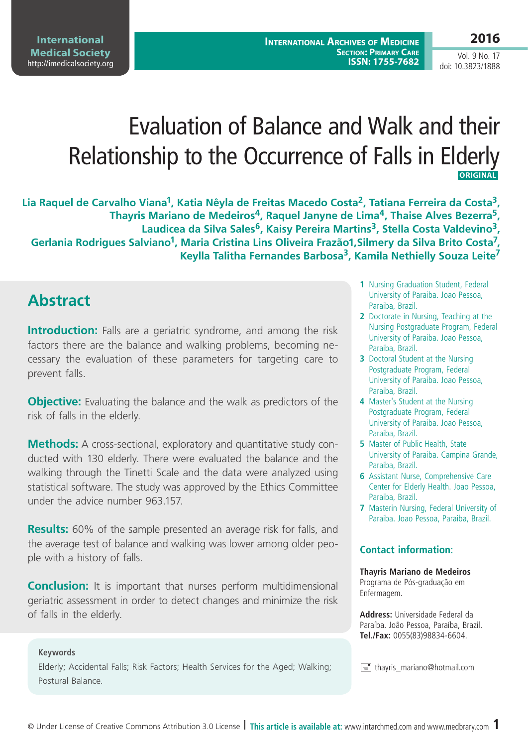# Evaluation of Balance and Walk and their Relationship to the Occurrence of Falls in Elderly **ORIGINAL**

**Lia Raquel de Carvalho Viana1, Katia Nêyla de Freitas Macedo Costa2, Tatiana Ferreira da Costa3, Thayris Mariano de Medeiros4, Raquel Janyne de Lima4, Thaise Alves Bezerra5,**  Laudicea da Silva Sales<sup>6</sup>, Kaisy Pereira Martins<sup>3</sup>, Stella Costa Valdevino<sup>3</sup>, Gerlania Rodrigues Salviano<sup>1</sup>, Maria Cristina Lins Oliveira Frazão1, Silmery da Silva Brito Costa<sup>7</sup>, **Keylla Talitha Fernandes Barbosa3, Kamila Nethielly Souza Leite7**

## **Abstract**

**Introduction:** Falls are a geriatric syndrome, and among the risk factors there are the balance and walking problems, becoming necessary the evaluation of these parameters for targeting care to prevent falls.

**Objective:** Evaluating the balance and the walk as predictors of the risk of falls in the elderly.

**Methods:** A cross-sectional, exploratory and quantitative study conducted with 130 elderly. There were evaluated the balance and the walking through the Tinetti Scale and the data were analyzed using statistical software. The study was approved by the Ethics Committee under the advice number 963.157.

**Results:** 60% of the sample presented an average risk for falls, and the average test of balance and walking was lower among older people with a history of falls.

**Conclusion:** It is important that nurses perform multidimensional geriatric assessment in order to detect changes and minimize the risk of falls in the elderly.

#### **Keywords**

Elderly; Accidental Falls; Risk Factors; Health Services for the Aged; Walking; Postural Balance.

- **1** Nursing Graduation Student, Federal University of Paraiba. Joao Pessoa, Paraiba, Brazil.
- **2** Doctorate in Nursing, Teaching at the Nursing Postgraduate Program, Federal University of Paraiba. Joao Pessoa, Paraiba, Brazil.
- **3** Doctoral Student at the Nursing Postgraduate Program, Federal University of Paraiba. Joao Pessoa, Paraiba, Brazil.
- **4** Master's Student at the Nursing Postgraduate Program, Federal University of Paraiba. Joao Pessoa, Paraiba, Brazil.
- **5** Master of Public Health, State University of Paraiba. Campina Grande, Paraiba, Brazil.
- **6** Assistant Nurse, Comprehensive Care Center for Elderly Health. Joao Pessoa, Paraiba, Brazil.
- **7** Masterin Nursing, Federal University of Paraiba. Joao Pessoa, Paraiba, Brazil.

#### **Contact information:**

#### **Thayris Mariano de Medeiros**

Programa de Pós-graduação em Enfermagem.

**Address:** Universidade Federal da Paraíba. João Pessoa, Paraíba, Brazil. **Tel./Fax:** 0055(83)98834-6604.

 $\equiv$  thayris mariano@hotmail.com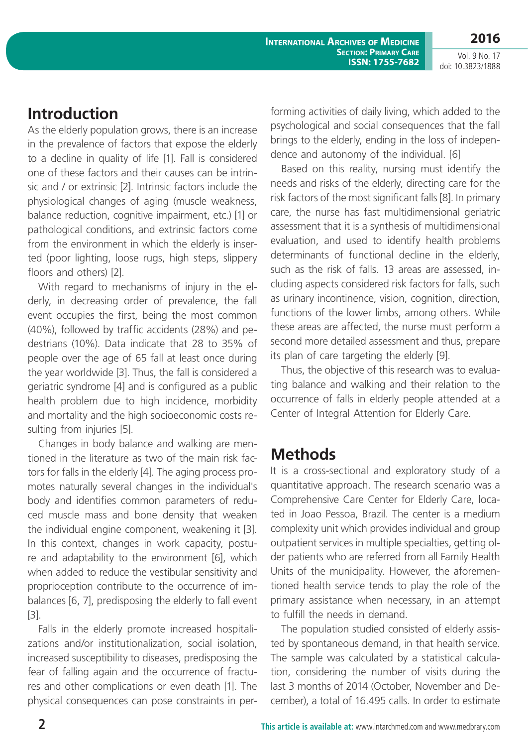**2016**

Vol. 9 No. 17 doi: 10.3823/1888

#### **Introduction**

As the elderly population grows, there is an increase in the prevalence of factors that expose the elderly to a decline in quality of life [1]. Fall is considered one of these factors and their causes can be intrinsic and / or extrinsic [2]. Intrinsic factors include the physiological changes of aging (muscle weakness, balance reduction, cognitive impairment, etc.) [1] or pathological conditions, and extrinsic factors come from the environment in which the elderly is inserted (poor lighting, loose rugs, high steps, slippery floors and others) [2].

With regard to mechanisms of injury in the elderly, in decreasing order of prevalence, the fall event occupies the first, being the most common (40%), followed by traffic accidents (28%) and pedestrians (10%). Data indicate that 28 to 35% of people over the age of 65 fall at least once during the year worldwide [3]. Thus, the fall is considered a geriatric syndrome [4] and is configured as a public health problem due to high incidence, morbidity and mortality and the high socioeconomic costs resulting from injuries [5].

Changes in body balance and walking are mentioned in the literature as two of the main risk factors for falls in the elderly [4]. The aging process promotes naturally several changes in the individual's body and identifies common parameters of reduced muscle mass and bone density that weaken the individual engine component, weakening it [3]. In this context, changes in work capacity, posture and adaptability to the environment [6], which when added to reduce the vestibular sensitivity and proprioception contribute to the occurrence of imbalances [6, 7], predisposing the elderly to fall event [3].

Falls in the elderly promote increased hospitalizations and/or institutionalization, social isolation, increased susceptibility to diseases, predisposing the fear of falling again and the occurrence of fractures and other complications or even death [1]. The physical consequences can pose constraints in performing activities of daily living, which added to the psychological and social consequences that the fall brings to the elderly, ending in the loss of independence and autonomy of the individual. [6]

Based on this reality, nursing must identify the needs and risks of the elderly, directing care for the risk factors of the most significant falls [8]. In primary care, the nurse has fast multidimensional geriatric assessment that it is a synthesis of multidimensional evaluation, and used to identify health problems determinants of functional decline in the elderly, such as the risk of falls. 13 areas are assessed, including aspects considered risk factors for falls, such as urinary incontinence, vision, cognition, direction, functions of the lower limbs, among others. While these areas are affected, the nurse must perform a second more detailed assessment and thus, prepare its plan of care targeting the elderly [9].

Thus, the objective of this research was to evaluating balance and walking and their relation to the occurrence of falls in elderly people attended at a Center of Integral Attention for Elderly Care.

### **Methods**

It is a cross-sectional and exploratory study of a quantitative approach. The research scenario was a Comprehensive Care Center for Elderly Care, located in Joao Pessoa, Brazil. The center is a medium complexity unit which provides individual and group outpatient services in multiple specialties, getting older patients who are referred from all Family Health Units of the municipality. However, the aforementioned health service tends to play the role of the primary assistance when necessary, in an attempt to fulfill the needs in demand.

The population studied consisted of elderly assisted by spontaneous demand, in that health service. The sample was calculated by a statistical calculation, considering the number of visits during the last 3 months of 2014 (October, November and December), a total of 16.495 calls. In order to estimate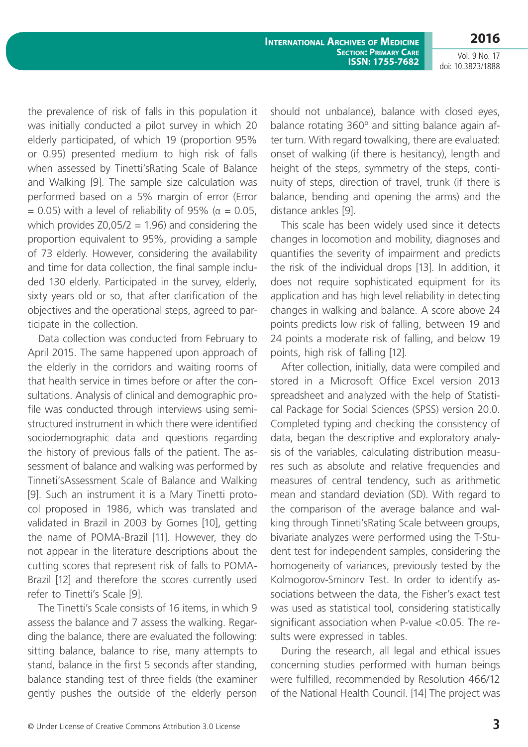**2016**

Vol. 9 No. 17 doi: 10.3823/1888

the prevalence of risk of falls in this population it was initially conducted a pilot survey in which 20 elderly participated, of which 19 (proportion 95% or 0.95) presented medium to high risk of falls when assessed by Tinetti'sRating Scale of Balance and Walking [9]. The sample size calculation was performed based on a 5% margin of error (Error  $= 0.05$ ) with a level of reliability of 95% ( $\alpha = 0.05$ , which provides  $Z0,05/2 = 1.96$ ) and considering the proportion equivalent to 95%, providing a sample of 73 elderly. However, considering the availability and time for data collection, the final sample included 130 elderly. Participated in the survey, elderly, sixty years old or so, that after clarification of the objectives and the operational steps, agreed to participate in the collection.

Data collection was conducted from February to April 2015. The same happened upon approach of the elderly in the corridors and waiting rooms of that health service in times before or after the consultations. Analysis of clinical and demographic profile was conducted through interviews using semistructured instrument in which there were identified sociodemographic data and questions regarding the history of previous falls of the patient. The assessment of balance and walking was performed by Tinneti'sAssessment Scale of Balance and Walking [9]. Such an instrument it is a Mary Tinetti protocol proposed in 1986, which was translated and validated in Brazil in 2003 by Gomes [10], getting the name of POMA-Brazil [11]. However, they do not appear in the literature descriptions about the cutting scores that represent risk of falls to POMA-Brazil [12] and therefore the scores currently used refer to Tinetti's Scale [9].

The Tinetti's Scale consists of 16 items, in which 9 assess the balance and 7 assess the walking. Regarding the balance, there are evaluated the following: sitting balance, balance to rise, many attempts to stand, balance in the first 5 seconds after standing, balance standing test of three fields (the examiner gently pushes the outside of the elderly person should not unbalance), balance with closed eyes, balance rotating 360º and sitting balance again after turn. With regard towalking, there are evaluated: onset of walking (if there is hesitancy), length and height of the steps, symmetry of the steps, continuity of steps, direction of travel, trunk (if there is balance, bending and opening the arms) and the distance ankles [9].

This scale has been widely used since it detects changes in locomotion and mobility, diagnoses and quantifies the severity of impairment and predicts the risk of the individual drops [13]. In addition, it does not require sophisticated equipment for its application and has high level reliability in detecting changes in walking and balance. A score above 24 points predicts low risk of falling, between 19 and 24 points a moderate risk of falling, and below 19 points, high risk of falling [12].

After collection, initially, data were compiled and stored in a Microsoft Office Excel version 2013 spreadsheet and analyzed with the help of Statistical Package for Social Sciences (SPSS) version 20.0. Completed typing and checking the consistency of data, began the descriptive and exploratory analysis of the variables, calculating distribution measures such as absolute and relative frequencies and measures of central tendency, such as arithmetic mean and standard deviation (SD). With regard to the comparison of the average balance and walking through Tinneti'sRating Scale between groups, bivariate analyzes were performed using the T-Student test for independent samples, considering the homogeneity of variances, previously tested by the Kolmogorov-Sminorv Test. In order to identify associations between the data, the Fisher's exact test was used as statistical tool, considering statistically significant association when P-value <0.05. The results were expressed in tables.

During the research, all legal and ethical issues concerning studies performed with human beings were fulfilled, recommended by Resolution 466/12 of the National Health Council. [14] The project was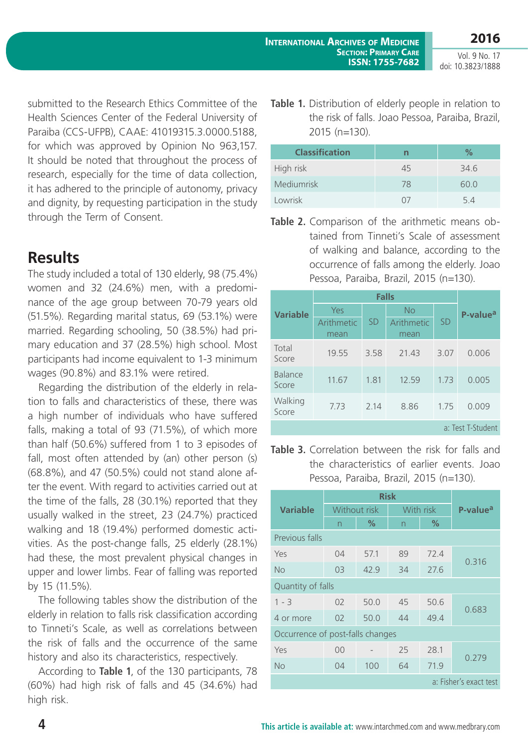submitted to the Research Ethics Committee of the Health Sciences Center of the Federal University of Paraiba (CCS-UFPB), CAAE: 41019315.3.0000.5188, for which was approved by Opinion No 963,157. It should be noted that throughout the process of research, especially for the time of data collection, it has adhered to the principle of autonomy, privacy and dignity, by requesting participation in the study through the Term of Consent.

### **Results**

The study included a total of 130 elderly, 98 (75.4%) women and 32 (24.6%) men, with a predominance of the age group between 70-79 years old (51.5%). Regarding marital status, 69 (53.1%) were married. Regarding schooling, 50 (38.5%) had primary education and 37 (28.5%) high school. Most participants had income equivalent to 1-3 minimum wages (90.8%) and 83.1% were retired.

Regarding the distribution of the elderly in relation to falls and characteristics of these, there was a high number of individuals who have suffered falls, making a total of 93 (71.5%), of which more than half (50.6%) suffered from 1 to 3 episodes of fall, most often attended by (an) other person (s) (68.8%), and 47 (50.5%) could not stand alone after the event. With regard to activities carried out at the time of the falls, 28 (30.1%) reported that they usually walked in the street, 23 (24.7%) practiced walking and 18 (19.4%) performed domestic activities. As the post-change falls, 25 elderly (28.1%) had these, the most prevalent physical changes in upper and lower limbs. Fear of falling was reported by 15 (11.5%).

The following tables show the distribution of the elderly in relation to falls risk classification according to Tinneti's Scale, as well as correlations between the risk of falls and the occurrence of the same history and also its characteristics, respectively.

According to **Table 1**, of the 130 participants, 78 (60%) had high risk of falls and 45 (34.6%) had high risk.

**Table 1.** Distribution of elderly people in relation to the risk of falls. Joao Pessoa, Paraiba, Brazil, 2015 (n=130).

| <b>Classification</b> | n                  | ℅    |
|-----------------------|--------------------|------|
| High risk             | 45                 | 34.6 |
| Mediumrisk            | 78                 | 60.0 |
| Lowrisk               | $\left( \ \right)$ | 54   |

**Table 2.** Comparison of the arithmetic means obtained from Tinneti's Scale of assessment of walking and balance, according to the occurrence of falls among the elderly. Joao Pessoa, Paraiba, Brazil, 2015 (n=130).

|                   | <b>Falls</b>       |           |                    |           |                      |  |  |
|-------------------|--------------------|-----------|--------------------|-----------|----------------------|--|--|
| <b>Variable</b>   | Yes                |           | <b>No</b>          |           | P-value <sup>a</sup> |  |  |
|                   | Arithmetic<br>mean | <b>SD</b> | Arithmetic<br>mean | <b>SD</b> |                      |  |  |
| Total<br>Score    | 19.55              | 3.58      | 21.43              | 3.07      | 0.006                |  |  |
| Balance<br>Score  | 11.67              | 1.81      | 12.59              | 1.73      | 0.005                |  |  |
| Walking<br>Score  | 7.73               | 2.14      | 8.86               | 1.75      | 0.009                |  |  |
| a: Test T-Student |                    |           |                    |           |                      |  |  |

**Table 3.** Correlation between the risk for falls and the characteristics of earlier events. Joao Pessoa, Paraiba, Brazil, 2015 (n=130).

|                                  | <b>Risk</b>    |      |           |      |                      |  |  |
|----------------------------------|----------------|------|-----------|------|----------------------|--|--|
| <b>Variable</b>                  | Without risk   |      | With risk |      | P-value <sup>a</sup> |  |  |
|                                  | n              | ℅    | n         | $\%$ |                      |  |  |
| Previous falls                   |                |      |           |      |                      |  |  |
| Yes                              | 04             | 57.1 | 89        | 72.4 | 0.316                |  |  |
| <b>No</b>                        | 03             | 42.9 | 34        | 27.6 |                      |  |  |
| Quantity of falls                |                |      |           |      |                      |  |  |
| $1 - 3$                          | 0 <sup>2</sup> | 50.0 | 45        | 50.6 |                      |  |  |
| 4 or more                        | 02             | 50.0 | 44        | 49.4 | 0.683                |  |  |
| Occurrence of post-falls changes |                |      |           |      |                      |  |  |
| Yes                              | 00             |      | 25        | 28.1 | 0.279                |  |  |
| <b>No</b>                        | 04             | 100  | 64        | 71.9 |                      |  |  |
| a: Fisher's exact test           |                |      |           |      |                      |  |  |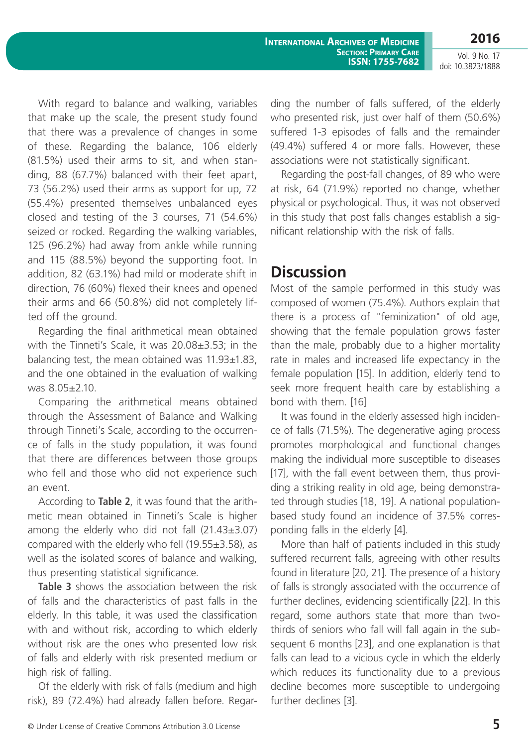**International Archives of Medicine Section: Primary Care ISSN: 1755-7682** **2016**

Vol. 9 No. 17 doi: 10.3823/1888

With regard to balance and walking, variables that make up the scale, the present study found that there was a prevalence of changes in some of these. Regarding the balance, 106 elderly (81.5%) used their arms to sit, and when standing, 88 (67.7%) balanced with their feet apart, 73 (56.2%) used their arms as support for up, 72 (55.4%) presented themselves unbalanced eyes closed and testing of the 3 courses, 71 (54.6%) seized or rocked. Regarding the walking variables, 125 (96.2%) had away from ankle while running and 115 (88.5%) beyond the supporting foot. In addition, 82 (63.1%) had mild or moderate shift in direction, 76 (60%) flexed their knees and opened their arms and 66 (50.8%) did not completely lifted off the ground.

Regarding the final arithmetical mean obtained with the Tinneti's Scale, it was 20.08±3.53; in the balancing test, the mean obtained was 11.93±1.83, and the one obtained in the evaluation of walking was 8.05±2.10.

Comparing the arithmetical means obtained through the Assessment of Balance and Walking through Tinneti's Scale, according to the occurrence of falls in the study population, it was found that there are differences between those groups who fell and those who did not experience such an event.

According to **Table 2**, it was found that the arithmetic mean obtained in Tinneti's Scale is higher among the elderly who did not fall  $(21.43\pm3.07)$ compared with the elderly who fell (19.55±3.58), as well as the isolated scores of balance and walking, thus presenting statistical significance.

**Table 3** shows the association between the risk of falls and the characteristics of past falls in the elderly. In this table, it was used the classification with and without risk, according to which elderly without risk are the ones who presented low risk of falls and elderly with risk presented medium or high risk of falling.

Of the elderly with risk of falls (medium and high risk), 89 (72.4%) had already fallen before. Regarding the number of falls suffered, of the elderly who presented risk, just over half of them (50.6%) suffered 1-3 episodes of falls and the remainder (49.4%) suffered 4 or more falls. However, these associations were not statistically significant.

Regarding the post-fall changes, of 89 who were at risk, 64 (71.9%) reported no change, whether physical or psychological. Thus, it was not observed in this study that post falls changes establish a significant relationship with the risk of falls.

### **Discussion**

Most of the sample performed in this study was composed of women (75.4%). Authors explain that there is a process of "feminization" of old age, showing that the female population grows faster than the male, probably due to a higher mortality rate in males and increased life expectancy in the female population [15]. In addition, elderly tend to seek more frequent health care by establishing a bond with them. [16]

It was found in the elderly assessed high incidence of falls (71.5%). The degenerative aging process promotes morphological and functional changes making the individual more susceptible to diseases [17], with the fall event between them, thus providing a striking reality in old age, being demonstrated through studies [18, 19]. A national populationbased study found an incidence of 37.5% corresponding falls in the elderly [4].

More than half of patients included in this study suffered recurrent falls, agreeing with other results found in literature [20, 21]. The presence of a history of falls is strongly associated with the occurrence of further declines, evidencing scientifically [22]. In this regard, some authors state that more than twothirds of seniors who fall will fall again in the subsequent 6 months [23], and one explanation is that falls can lead to a vicious cycle in which the elderly which reduces its functionality due to a previous decline becomes more susceptible to undergoing further declines [3].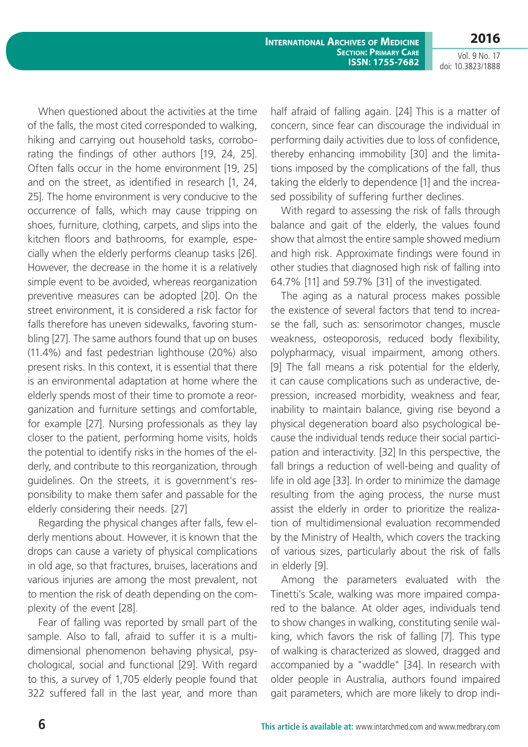**International Archives of Medicine Section: Primary Care ISSN: 1755-7682** **2016**

Vol. 9 No. 17 doi: 10.3823/1888

When questioned about the activities at the time of the falls, the most cited corresponded to walking, hiking and carrying out household tasks, corroborating the findings of other authors [19, 24, 25]. Often falls occur in the home environment [19, 25] and on the street, as identified in research [1, 24, 25]. The home environment is very conducive to the occurrence of falls, which may cause tripping on shoes, furniture, clothing, carpets, and slips into the kitchen floors and bathrooms, for example, especially when the elderly performs cleanup tasks [26]. However, the decrease in the home it is a relatively simple event to be avoided, whereas reorganization preventive measures can be adopted [20]. On the street environment, it is considered a risk factor for falls therefore has uneven sidewalks, favoring stumbling [27]. The same authors found that up on buses (11.4%) and fast pedestrian lighthouse (20%) also present risks. In this context, it is essential that there is an environmental adaptation at home where the elderly spends most of their time to promote a reorganization and furniture settings and comfortable, for example [27]. Nursing professionals as they lay closer to the patient, performing home visits, holds the potential to identify risks in the homes of the elderly, and contribute to this reorganization, through guidelines. On the streets, it is government's responsibility to make them safer and passable for the elderly considering their needs. [27]

Regarding the physical changes after falls, few elderly mentions about. However, it is known that the drops can cause a variety of physical complications in old age, so that fractures, bruises, lacerations and various injuries are among the most prevalent, not to mention the risk of death depending on the complexity of the event [28].

Fear of falling was reported by small part of the sample. Also to fall, afraid to suffer it is a multidimensional phenomenon behaving physical, psychological, social and functional [29]. With regard to this, a survey of 1,705 elderly people found that 322 suffered fall in the last year, and more than half afraid of falling again. [24] This is a matter of concern, since fear can discourage the individual in performing daily activities due to loss of confidence, thereby enhancing immobility [30] and the limitations imposed by the complications of the fall, thus taking the elderly to dependence [1] and the increased possibility of suffering further declines.

With regard to assessing the risk of falls through balance and gait of the elderly, the values found show that almost the entire sample showed medium and high risk. Approximate findings were found in other studies that diagnosed high risk of falling into 64.7% [11] and 59.7% [31] of the investigated.

The aging as a natural process makes possible the existence of several factors that tend to increase the fall, such as: sensorimotor changes, muscle weakness, osteoporosis, reduced body flexibility, polypharmacy, visual impairment, among others. [9] The fall means a risk potential for the elderly, it can cause complications such as underactive, depression, increased morbidity, weakness and fear, inability to maintain balance, giving rise beyond a physical degeneration board also psychological because the individual tends reduce their social participation and interactivity. [32] In this perspective, the fall brings a reduction of well-being and quality of life in old age [33]. In order to minimize the damage resulting from the aging process, the nurse must assist the elderly in order to prioritize the realization of multidimensional evaluation recommended by the Ministry of Health, which covers the tracking of various sizes, particularly about the risk of falls in elderly [9].

Among the parameters evaluated with the Tinetti's Scale, walking was more impaired compared to the balance. At older ages, individuals tend to show changes in walking, constituting senile walking, which favors the risk of falling [7]. This type of walking is characterized as slowed, dragged and accompanied by a "waddle" [34]. In research with older people in Australia, authors found impaired gait parameters, which are more likely to drop indi-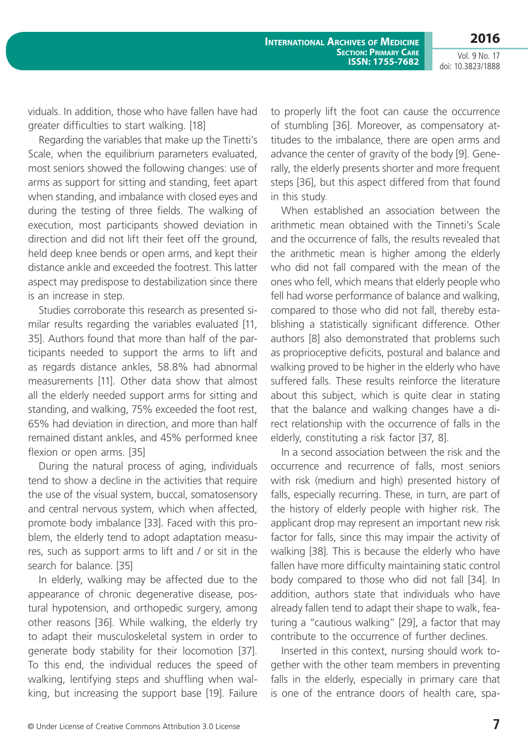**2016** Vol. 9 No. 17

doi: 10.3823/1888

viduals. In addition, those who have fallen have had greater difficulties to start walking. [18]

Regarding the variables that make up the Tinetti's Scale, when the equilibrium parameters evaluated, most seniors showed the following changes: use of arms as support for sitting and standing, feet apart when standing, and imbalance with closed eyes and during the testing of three fields. The walking of execution, most participants showed deviation in direction and did not lift their feet off the ground, held deep knee bends or open arms, and kept their distance ankle and exceeded the footrest. This latter aspect may predispose to destabilization since there is an increase in step.

Studies corroborate this research as presented similar results regarding the variables evaluated [11, 35]. Authors found that more than half of the participants needed to support the arms to lift and as regards distance ankles, 58.8% had abnormal measurements [11]. Other data show that almost all the elderly needed support arms for sitting and standing, and walking, 75% exceeded the foot rest, 65% had deviation in direction, and more than half remained distant ankles, and 45% performed knee flexion or open arms. [35]

During the natural process of aging, individuals tend to show a decline in the activities that require the use of the visual system, buccal, somatosensory and central nervous system, which when affected, promote body imbalance [33]. Faced with this problem, the elderly tend to adopt adaptation measures, such as support arms to lift and / or sit in the search for balance. [35]

In elderly, walking may be affected due to the appearance of chronic degenerative disease, postural hypotension, and orthopedic surgery, among other reasons [36]. While walking, the elderly try to adapt their musculoskeletal system in order to generate body stability for their locomotion [37]. To this end, the individual reduces the speed of walking, lentifying steps and shuffling when walking, but increasing the support base [19]. Failure to properly lift the foot can cause the occurrence of stumbling [36]. Moreover, as compensatory attitudes to the imbalance, there are open arms and advance the center of gravity of the body [9]. Generally, the elderly presents shorter and more frequent steps [36], but this aspect differed from that found in this study.

When established an association between the arithmetic mean obtained with the Tinneti's Scale and the occurrence of falls, the results revealed that the arithmetic mean is higher among the elderly who did not fall compared with the mean of the ones who fell, which means that elderly people who fell had worse performance of balance and walking, compared to those who did not fall, thereby establishing a statistically significant difference. Other authors [8] also demonstrated that problems such as proprioceptive deficits, postural and balance and walking proved to be higher in the elderly who have suffered falls. These results reinforce the literature about this subject, which is quite clear in stating that the balance and walking changes have a direct relationship with the occurrence of falls in the elderly, constituting a risk factor [37, 8].

In a second association between the risk and the occurrence and recurrence of falls, most seniors with risk (medium and high) presented history of falls, especially recurring. These, in turn, are part of the history of elderly people with higher risk. The applicant drop may represent an important new risk factor for falls, since this may impair the activity of walking [38]. This is because the elderly who have fallen have more difficulty maintaining static control body compared to those who did not fall [34]. In addition, authors state that individuals who have already fallen tend to adapt their shape to walk, featuring a "cautious walking" [29], a factor that may contribute to the occurrence of further declines.

Inserted in this context, nursing should work together with the other team members in preventing falls in the elderly, especially in primary care that is one of the entrance doors of health care, spa-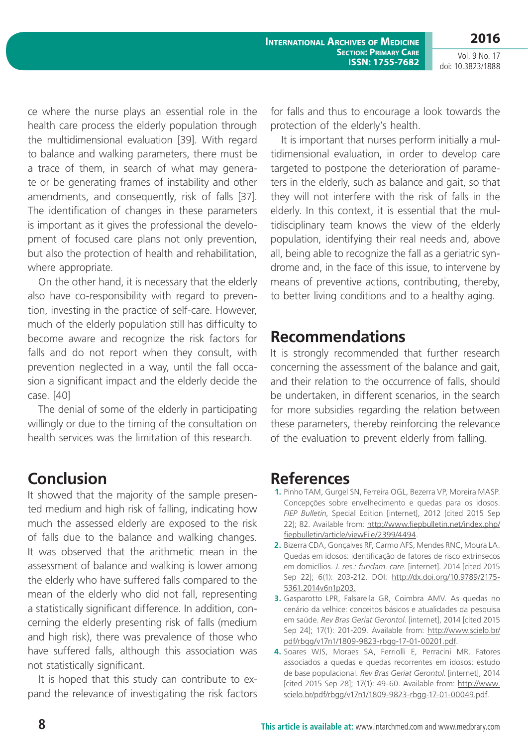**2016**

ce where the nurse plays an essential role in the health care process the elderly population through the multidimensional evaluation [39]. With regard to balance and walking parameters, there must be a trace of them, in search of what may generate or be generating frames of instability and other amendments, and consequently, risk of falls [37]. The identification of changes in these parameters is important as it gives the professional the development of focused care plans not only prevention, but also the protection of health and rehabilitation, where appropriate.

On the other hand, it is necessary that the elderly also have co-responsibility with regard to prevention, investing in the practice of self-care. However, much of the elderly population still has difficulty to become aware and recognize the risk factors for falls and do not report when they consult, with prevention neglected in a way, until the fall occasion a significant impact and the elderly decide the case. [40]

The denial of some of the elderly in participating willingly or due to the timing of the consultation on health services was the limitation of this research.

### **Conclusion**

It showed that the majority of the sample presented medium and high risk of falling, indicating how much the assessed elderly are exposed to the risk of falls due to the balance and walking changes. It was observed that the arithmetic mean in the assessment of balance and walking is lower among the elderly who have suffered falls compared to the mean of the elderly who did not fall, representing a statistically significant difference. In addition, concerning the elderly presenting risk of falls (medium and high risk), there was prevalence of those who have suffered falls, although this association was not statistically significant.

It is hoped that this study can contribute to expand the relevance of investigating the risk factors for falls and thus to encourage a look towards the protection of the elderly's health.

It is important that nurses perform initially a multidimensional evaluation, in order to develop care targeted to postpone the deterioration of parameters in the elderly, such as balance and gait, so that they will not interfere with the risk of falls in the elderly. In this context, it is essential that the multidisciplinary team knows the view of the elderly population, identifying their real needs and, above all, being able to recognize the fall as a geriatric syndrome and, in the face of this issue, to intervene by means of preventive actions, contributing, thereby, to better living conditions and to a healthy aging.

#### **Recommendations**

It is strongly recommended that further research concerning the assessment of the balance and gait, and their relation to the occurrence of falls, should be undertaken, in different scenarios, in the search for more subsidies regarding the relation between these parameters, thereby reinforcing the relevance of the evaluation to prevent elderly from falling.

#### **References**

- **1.** Pinho TAM, Gurgel SN, Ferreira OGL, Bezerra VP, Moreira MASP. Concepções sobre envelhecimento e quedas para os idosos. *FIEP Bulletin*, Special Edition [internet], 2012 [cited 2015 Sep 22]; 82. Available from: [http://www.fiepbulletin.net/index.php/](http://www.fiepbulletin.net/index.php/fiepbulletin/article/viewFile/2399/4494) [fiepbulletin/article/viewFile/2399/4494](http://www.fiepbulletin.net/index.php/fiepbulletin/article/viewFile/2399/4494).
- **2.** Bizerra CDA, Gonçalves RF, Carmo AFS, Mendes RNC, Moura LA. Quedas em idosos: identificação de fatores de risco extrínsecos em domicílios. *J. res.: fundam. care*. [internet]. 2014 [cited 2015 Sep 22]; 6(1): 203-212. DOI: [http://dx.doi.org/10.9789/2175-](http://dx.doi.org/10.9789/2175-5361.2014v6n1p203.) [5361.2014v6n1p203.](http://dx.doi.org/10.9789/2175-5361.2014v6n1p203.)
- **3.** Gasparotto LPR, Falsarella GR, Coimbra AMV. As quedas no cenário da velhice: conceitos básicos e atualidades da pesquisa em saúde. *Rev Bras Geriat Gerontol*. [internet], 2014 [cited 2015 Sep 24]; 17(1): 201-209. Available from: [http://www.scielo.br/](http://www.scielo.br/pdf/rbgg/v17n1/1809-9823-rbgg-17-01-00201.pdf) [pdf/rbgg/v17n1/1809-9823-rbgg-17-01-00201.pdf](http://www.scielo.br/pdf/rbgg/v17n1/1809-9823-rbgg-17-01-00201.pdf).
- **4.** Soares WJS, Moraes SA, Ferriolli E, Perracini MR. Fatores associados a quedas e quedas recorrentes em idosos: estudo de base populacional. *Rev Bras Geriat Gerontol*. [internet], 2014 [cited 2015 Sep 28]; 17(1): 49-60. Available from: [http://www.](http://www.scielo.br/pdf/rbgg/v17n1/1809-9823-rbgg-17-01-00049.pdf) [scielo.br/pdf/rbgg/v17n1/1809-9823-rbgg-17-01-00049.pdf](http://www.scielo.br/pdf/rbgg/v17n1/1809-9823-rbgg-17-01-00049.pdf).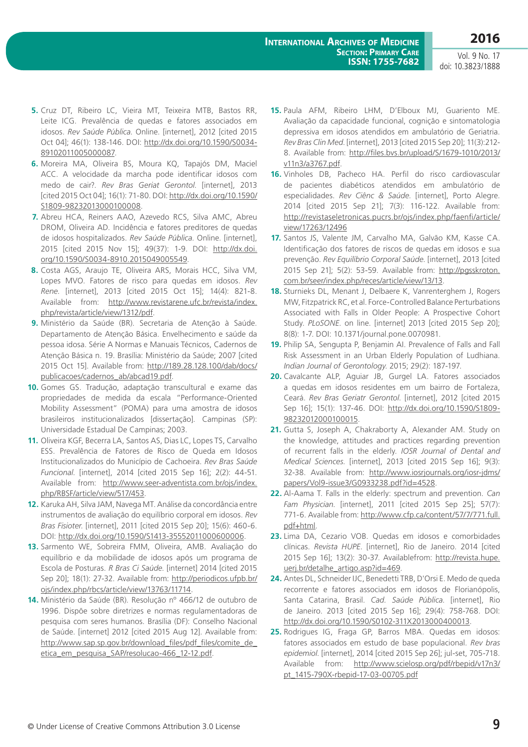- **5.** Cruz DT, Ribeiro LC, Vieira MT, Teixeira MTB, Bastos RR, Leite ICG. Prevalência de quedas e fatores associados em idosos. *Rev Saúde Pública*. Online. [internet], 2012 [cited 2015 Oct 04]; 46(1): 138-146. DOI: [http://dx.doi.org/10.1590/S0034-](http://dx.doi.org/10.1590/S0034-89102011005000087) [89102011005000087](http://dx.doi.org/10.1590/S0034-89102011005000087).
- **6.** Moreira MA, Oliveira BS, Moura KQ, Tapajós DM, Maciel ACC. A velocidade da marcha pode identificar idosos com medo de cair?. *Rev Bras Geriat Gerontol*. [internet], 2013 [cited 2015 Oct 04]; 16(1): 71-80. DOI: [http://dx.doi.org/10.1590/](http://dx.doi.org/10.1590/S1809-98232013000100008) [S1809-98232013000100008.](http://dx.doi.org/10.1590/S1809-98232013000100008)
- **7.** Abreu HCA, Reiners AAO, Azevedo RCS, Silva AMC, Abreu DROM, Oliveira AD. Incidência e fatores preditores de quedas de idosos hospitalizados. *Rev Saúde Pública*. Online. [internet], 2015 [cited 2015 Nov 15]; 49(37): 1-9. DOI: [http://dx.doi.](http://dx.doi.org/10.1590/S0034-8910.2015049005549) [org/10.1590/S0034-8910.2015049005549.](http://dx.doi.org/10.1590/S0034-8910.2015049005549)
- **8.** Costa AGS, Araujo TE, Oliveira ARS, Morais HCC, Silva VM, Lopes MVO. Fatores de risco para quedas em idosos. *Rev Rene*. [internet], 2013 [cited 2015 Oct 15]; 14(4): 821-8. Available from: [http://www.revistarene.ufc.br/revista/index.](http://www.revistarene.ufc.br/revista/index.php/revista/article/view/1312/pdf) [php/revista/article/view/1312/pdf](http://www.revistarene.ufc.br/revista/index.php/revista/article/view/1312/pdf).
- **9.** Ministério da Saúde (BR). Secretaria de Atenção à Saúde. Departamento de Atenção Básica. Envelhecimento e saúde da pessoa idosa. Série A Normas e Manuais Técnicos, Cadernos de Atenção Básica n. 19. Brasília: Ministério da Saúde; 2007 [cited 2015 Oct 15]. Available from: [http://189.28.128.100/dab/docs/](http://189.28.128.100/dab/docs/publicacoes/cadernos_ab/abcad19.pdf) [publicacoes/cadernos\\_ab/abcad19.pdf](http://189.28.128.100/dab/docs/publicacoes/cadernos_ab/abcad19.pdf).
- **10.** Gomes GS. Tradução, adaptação transcultural e exame das propriedades de medida da escala "Performance-Oriented Mobility Assessment" (POMA) para uma amostra de idosos brasileiros institucionalizados [dissertação]. Campinas (SP): Universidade Estadual De Campinas; 2003.
- **11.** Oliveira KGF, Becerra LA, Santos AS, Dias LC, Lopes TS, Carvalho ESS. Prevalência de Fatores de Risco de Queda em Idosos Institucionalizados do Município de Cachoeira. *Rev Bras Saúde Funcional*. [internet], 2014 [cited 2015 Sep 16]; 2(2): 44-51. Available from: [http://www.seer-adventista.com.br/ojs/index.](http://www.seer-adventista.com.br/ojs/index.php/RBSF/article/view/517/453) [php/RBSF/article/view/517/453.](http://www.seer-adventista.com.br/ojs/index.php/RBSF/article/view/517/453)
- **12.** Karuka AH, Silva JAM, Navega MT. Análise da concordância entre instrumentos de avaliação do equilíbrio corporal em idosos. *Rev Bras Fisioter*. [internet], 2011 [cited 2015 Sep 20]; 15(6): 460-6. DOI: <http://dx.doi.org/10.1590/S1413-35552011000600006>.
- **13.** Sarmento WE, Sobreira FMM, Oliveira, AMB. Avaliação do equilíbrio e da mobilidade de idosos após um programa de Escola de Posturas. *R Bras Ci Saúde*. [internet] 2014 [cited 2015 Sep 20]; 18(1): 27-32. Available from: [http://periodicos.ufpb.br/](http://periodicos.ufpb.br/ojs/index.php/rbcs/article/view/13763/11714) [ojs/index.php/rbcs/article/view/13763/11714](http://periodicos.ufpb.br/ojs/index.php/rbcs/article/view/13763/11714).
- **14.** Ministério da Saúde (BR). Resolução nº 466/12 de outubro de 1996. Dispõe sobre diretrizes e normas regulamentadoras de pesquisa com seres humanos. Brasília (DF): Conselho Nacional de Saúde. [internet] 2012 [cited 2015 Aug 12]. Available from: http://www.sap.sp.gov.br/download\_files/pdf\_files/comite\_de [etica\\_em\\_pesquisa\\_SAP/resolucao-466\\_12-12.pdf.](http://www.sap.sp.gov.br/download_files/pdf_files/comite_de_etica_em_pesquisa_SAP/resolucao-466_12-12.pdf)
- **15.** Paula AFM, Ribeiro LHM, D'Elboux MJ, Guariento ME. Avaliação da capacidade funcional, cognição e sintomatologia depressiva em idosos atendidos em ambulatório de Geriatria. *Rev Bras Clin Med*. [internet], 2013 [cited 2015 Sep 20]; 11(3):212- 8. Available from: [http://files.bvs.br/upload/S/1679-1010/2013/](http://files.bvs.br/upload/S/1679-1010/2013/v11n3/a3767.pdf) [v11n3/a3767.pdf](http://files.bvs.br/upload/S/1679-1010/2013/v11n3/a3767.pdf).
- **16.** Vinholes DB, Pacheco HA. Perfil do risco cardiovascular de pacientes diabéticos atendidos em ambulatório de especialidades. *Rev Ciênc & Saúde*. [internet], Porto Alegre. 2014 [cited 2015 Sep 21]; 7(3): 116-122. Available from: [http://revistaseletronicas.pucrs.br/ojs/index.php/faenfi/article/](http://revistaseletronicas.pucrs.br/ojs/index.php/faenfi/article/view/17263/12496) [view/17263/12496](http://revistaseletronicas.pucrs.br/ojs/index.php/faenfi/article/view/17263/12496)
- **17.** Santos JS, Valente JM, Carvalho MA, Galvão KM, Kasse CA. Identificação dos fatores de riscos de quedas em idosos e sua prevenção. *Rev Equilíbrio Corporal Saúde*. [internet], 2013 [cited 2015 Sep 21]; 5(2): 53-59. Available from: [http://pgsskroton.](http://pgsskroton.com.br/seer/index.php/reces/article/view/13/13) [com.br/seer/index.php/reces/article/view/13/13](http://pgsskroton.com.br/seer/index.php/reces/article/view/13/13).
- **18.** Sturnieks DL, Menant J, Delbaere K, Vanrenterghem J, Rogers MW, Fitzpatrick RC, et al. Force-Controlled Balance Perturbations Associated with Falls in Older People: A Prospective Cohort Study. *PLoSONE*. on line. [internet] 2013 [cited 2015 Sep 20]; 8(8): 1-7. DOI: 10.1371/journal.pone.0070981.
- **19.** Philip SA, Sengupta P, Benjamin AI. Prevalence of Falls and Fall Risk Assessment in an Urban Elderly Population of Ludhiana. *Indian Journal of Gerontology*. 2015; 29(2): 187-197.
- **20.** Cavalcante ALP, Aguiar JB, Gurgel LA. Fatores associados a quedas em idosos residentes em um bairro de Fortaleza, Ceará. *Rev Bras Geriatr Gerontol*. [internet], 2012 [cited 2015 Sep 16]; 15(1): 137-46. DOI: [http://dx.doi.org/10.1590/S1809-](http://dx.doi.org/10.1590/S1809-98232012000100015) [98232012000100015.](http://dx.doi.org/10.1590/S1809-98232012000100015)
- **21.** Gutta S, Joseph A, Chakraborty A, Alexander AM. Study on the knowledge, attitudes and practices regarding prevention of recurrent falls in the elderly. *IOSR Journal of Dental and Medical Sciences*. [internet], 2013 [cited 2015 Sep 16]; 9(3): 32-38. Available from: [http://www.iosrjournals.org/iosr-jdms/](http://www.iosrjournals.org/iosr-jdms/papers/Vol9-issue3/G0933238.pdf?id=4528) [papers/Vol9-issue3/G0933238.pdf?id=4528.](http://www.iosrjournals.org/iosr-jdms/papers/Vol9-issue3/G0933238.pdf?id=4528)
- **22.** Al-Aama T. Falls in the elderly: spectrum and prevention. *Can Fam Physician*. [internet], 2011 [cited 2015 Sep 25]; 57(7): 771-6. Available from: [http://www.cfp.ca/content/57/7/771.full.](http://www.cfp.ca/content/57/7/771.full.pdf+html) [pdf+html.](http://www.cfp.ca/content/57/7/771.full.pdf+html)
- **23.** Lima DA, Cezario VOB. Quedas em idosos e comorbidades clínicas. *Revista HUPE*. [internet], Rio de Janeiro. 2014 [cited 2015 Sep 16]; 13(2): 30-37. Availablefrom: [http://revista.hupe.](http://revista.hupe.uerj.br/detalhe_artigo.asp?id=469) [uerj.br/detalhe\\_artigo.asp?id=469](http://revista.hupe.uerj.br/detalhe_artigo.asp?id=469).
- **24.** Antes DL, Schneider IJC, Benedetti TRB, D'Orsi E. Medo de queda recorrente e fatores associados em idosos de Florianópolis, Santa Catarina, Brasil. *Cad. Saúde Pública*. [internet], Rio de Janeiro. 2013 [cited 2015 Sep 16]; 29(4): 758-768. DOI: [http://dx.doi.org/10.1590/S0102-311X2013000400013.](http://dx.doi.org/10.1590/S0102-311X2013000400013)
- **25.** Rodrigues IG, Fraga GP, Barros MBA. Quedas em idosos: fatores associados em estudo de base populacional. *Rev bras epidemiol*. [internet], 2014 [cited 2015 Sep 26]; jul-set, 705-718. Available from: [http://www.scielosp.org/pdf/rbepid/v17n3/](http://www.scielosp.org/pdf/rbepid/v17n3/pt_1415-790X-rbepid-17-03-00705.pdf) [pt\\_1415-790X-rbepid-17-03-00705.pdf](http://www.scielosp.org/pdf/rbepid/v17n3/pt_1415-790X-rbepid-17-03-00705.pdf)